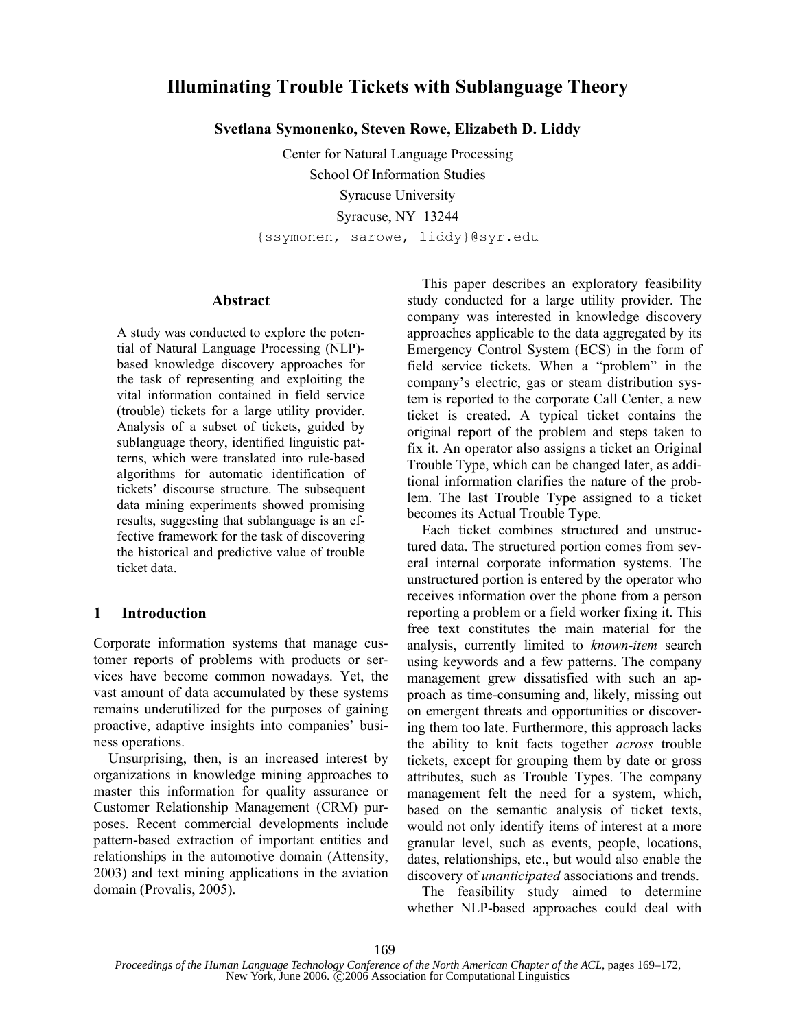# **Illuminating Trouble Tickets with Sublanguage Theory**

**Svetlana Symonenko, Steven Rowe, Elizabeth D. Liddy**

Center for Natural Language Processing School Of Information Studies Syracuse University Syracuse, NY 13244 {ssymonen, sarowe, liddy}@syr.edu

## **Abstract**

A study was conducted to explore the potential of Natural Language Processing (NLP) based knowledge discovery approaches for the task of representing and exploiting the vital information contained in field service (trouble) tickets for a large utility provider. Analysis of a subset of tickets, guided by sublanguage theory, identified linguistic patterns, which were translated into rule-based algorithms for automatic identification of tickets' discourse structure. The subsequent data mining experiments showed promising results, suggesting that sublanguage is an effective framework for the task of discovering the historical and predictive value of trouble ticket data.

## **1 Introduction**

Corporate information systems that manage customer reports of problems with products or services have become common nowadays. Yet, the vast amount of data accumulated by these systems remains underutilized for the purposes of gaining proactive, adaptive insights into companies' business operations.

Unsurprising, then, is an increased interest by organizations in knowledge mining approaches to master this information for quality assurance or Customer Relationship Management (CRM) purposes. Recent commercial developments include pattern-based extraction of important entities and relationships in the automotive domain (Attensity, 2003) and text mining applications in the aviation domain (Provalis, 2005).

This paper describes an exploratory feasibility study conducted for a large utility provider. The company was interested in knowledge discovery approaches applicable to the data aggregated by its Emergency Control System (ECS) in the form of field service tickets. When a "problem" in the company's electric, gas or steam distribution system is reported to the corporate Call Center, a new ticket is created. A typical ticket contains the original report of the problem and steps taken to fix it. An operator also assigns a ticket an Original Trouble Type, which can be changed later, as additional information clarifies the nature of the problem. The last Trouble Type assigned to a ticket becomes its Actual Trouble Type.

Each ticket combines structured and unstructured data. The structured portion comes from several internal corporate information systems. The unstructured portion is entered by the operator who receives information over the phone from a person reporting a problem or a field worker fixing it. This free text constitutes the main material for the analysis, currently limited to *known*-*item* search using keywords and a few patterns. The company management grew dissatisfied with such an approach as time-consuming and, likely, missing out on emergent threats and opportunities or discovering them too late. Furthermore, this approach lacks the ability to knit facts together *across* trouble tickets, except for grouping them by date or gross attributes, such as Trouble Types. The company management felt the need for a system, which, based on the semantic analysis of ticket texts, would not only identify items of interest at a more granular level, such as events, people, locations, dates, relationships, etc., but would also enable the discovery of *unanticipated* associations and trends.

The feasibility study aimed to determine whether NLP-based approaches could deal with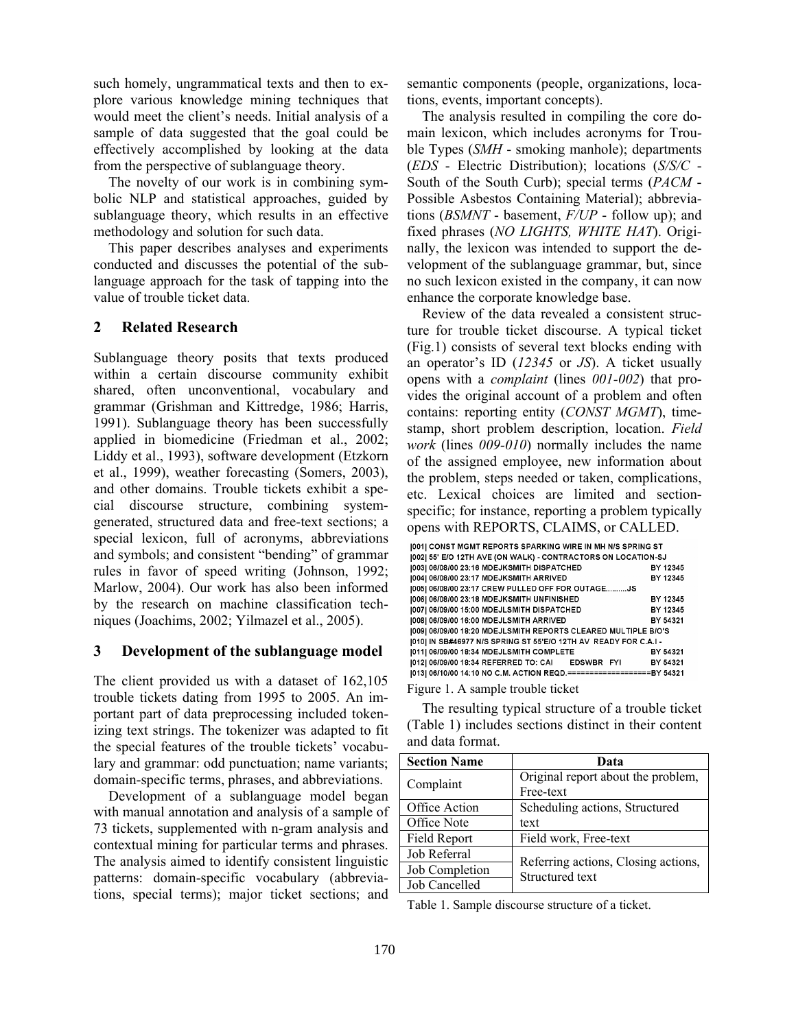such homely, ungrammatical texts and then to explore various knowledge mining techniques that would meet the client's needs. Initial analysis of a sample of data suggested that the goal could be effectively accomplished by looking at the data from the perspective of sublanguage theory.

The novelty of our work is in combining symbolic NLP and statistical approaches, guided by sublanguage theory, which results in an effective methodology and solution for such data.

This paper describes analyses and experiments conducted and discusses the potential of the sublanguage approach for the task of tapping into the value of trouble ticket data.

#### **2 Related Research**

Sublanguage theory posits that texts produced within a certain discourse community exhibit shared, often unconventional, vocabulary and grammar (Grishman and Kittredge, 1986; Harris, 1991). Sublanguage theory has been successfully applied in biomedicine (Friedman et al., 2002; Liddy et al., 1993), software development (Etzkorn et al., 1999), weather forecasting (Somers, 2003), and other domains. Trouble tickets exhibit a special discourse structure, combining systemgenerated, structured data and free-text sections; a special lexicon, full of acronyms, abbreviations and symbols; and consistent "bending" of grammar rules in favor of speed writing (Johnson, 1992; Marlow, 2004). Our work has also been informed by the research on machine classification techniques (Joachims, 2002; Yilmazel et al., 2005).

#### **3 Development of the sublanguage model**

The client provided us with a dataset of 162,105 trouble tickets dating from 1995 to 2005. An important part of data preprocessing included tokenizing text strings. The tokenizer was adapted to fit the special features of the trouble tickets' vocabulary and grammar: odd punctuation; name variants; domain-specific terms, phrases, and abbreviations.

Development of a sublanguage model began with manual annotation and analysis of a sample of 73 tickets, supplemented with n-gram analysis and contextual mining for particular terms and phrases. The analysis aimed to identify consistent linguistic patterns: domain-specific vocabulary (abbreviations, special terms); major ticket sections; and semantic components (people, organizations, locations, events, important concepts).

The analysis resulted in compiling the core domain lexicon, which includes acronyms for Trouble Types (*SMH* - smoking manhole); departments (*EDS* - Electric Distribution); locations (*S/S/C* - South of the South Curb); special terms (*PACM* - Possible Asbestos Containing Material); abbreviations (*BSMNT* - basement, *F/UP* - follow up); and fixed phrases (*NO LIGHTS, WHITE HAT*). Originally, the lexicon was intended to support the development of the sublanguage grammar, but, since no such lexicon existed in the company, it can now enhance the corporate knowledge base.

Review of the data revealed a consistent structure for trouble ticket discourse. A typical ticket (Fig.1) consists of several text blocks ending with an operator's ID (*12345* or *JS*). A ticket usually opens with a *complaint* (lines *001-002*) that provides the original account of a problem and often contains: reporting entity (*CONST MGMT*), timestamp, short problem description, location. *Field work* (lines *009-010*) normally includes the name of the assigned employee, new information about the problem, steps needed or taken, complications, etc. Lexical choices are limited and sectionspecific; for instance, reporting a problem typically opens with REPORTS, CLAIMS, or CALLED.

| [001] CONST MGMT REPORTS SPARKING WIRE IN MH N/S SPRING ST          |          |  |
|---------------------------------------------------------------------|----------|--|
| [002] 55' E/O 12TH AVE (ON WALK) - CONTRACTORS ON LOCATION-SJ       |          |  |
| [003] 06/08/00 23:16 MDEJKSMITH DISPATCHED                          | BY 12345 |  |
| [004] 06/08/00 23:17 MDEJKSMITH ARRIVED                             | BY 12345 |  |
| [005] 06/08/00 23:17 CREW PULLED OFF FOR OUTAGEJS                   |          |  |
| [006] 06/08/00 23:18 MDEJKSMITH UNFINISHED                          | BY 12345 |  |
| [007] 06/09/00 15:00 MDEJLSMITH DISPATCHED                          | BY 12345 |  |
| [008] 06/09/00 16:00 MDEJLSMITH ARRIVED                             | BY 54321 |  |
| [009] 06/09/00 18:20 MDEJLSMITH REPORTS CLEARED MULTIPLE B/O'S      |          |  |
| [010] IN SB#46977 N/S SPRING ST 55'E/O 12TH AV READY FOR C.A.I -    |          |  |
| [011] 06/09/00 18:34 MDEJLSMITH COMPLETE                            | BY 54321 |  |
| [012] 06/09/00 18:34 REFERRED TO: CAI EDSWBR FYI                    | BY 54321 |  |
| 013  06/10/00 14:10 NO C.M. ACTION REQD.===================BY 54321 |          |  |
|                                                                     |          |  |

Figure 1. A sample trouble ticket

The resulting typical structure of a trouble ticket (Table 1) includes sections distinct in their content and data format.

| <b>Section Name</b> | Data                                                   |  |
|---------------------|--------------------------------------------------------|--|
| Complaint           | Original report about the problem,                     |  |
|                     | Free-text                                              |  |
| Office Action       | Scheduling actions, Structured                         |  |
| Office Note         | text                                                   |  |
| Field Report        | Field work, Free-text                                  |  |
| Job Referral        | Referring actions, Closing actions,<br>Structured text |  |
| Job Completion      |                                                        |  |
| Job Cancelled       |                                                        |  |

Table 1. Sample discourse structure of a ticket.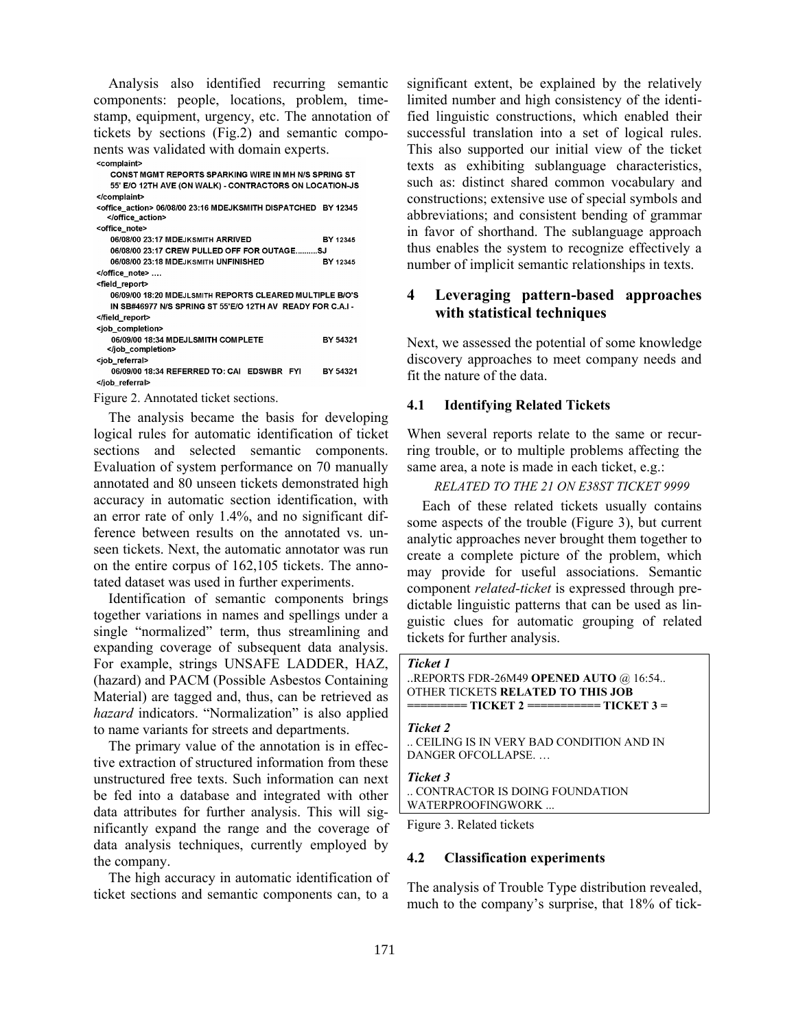Analysis also identified recurring semantic components: people, locations, problem, timestamp, equipment, urgency, etc. The annotation of tickets by sections (Fig.2) and semantic components was validated with domain experts.

| <complaint></complaint>                                                        |                 |
|--------------------------------------------------------------------------------|-----------------|
| CONST MGMT REPORTS SPARKING WIRE IN MH N/S SPRING ST                           |                 |
| 55' E/O 12TH AVE (ON WALK) - CONTRACTORS ON LOCATION-JS                        |                 |
|                                                                                |                 |
| <office action=""> 06/08/00 23:16 MDEJKSMITH DISPATCHED BY 12345<br/></office> |                 |
| <office note=""></office>                                                      |                 |
| 06/08/00 23:17 MDEJKSMITH ARRIVED                                              | BY 12345        |
| 06/08/00 23:17 CREW PULLED OFF FOR OUTAGESJ                                    |                 |
| 06/08/00 23:18 MDEJKSMITH UNFINISHED                                           | BY 12345        |
|                                                                                |                 |
| <field report=""></field>                                                      |                 |
| 06/09/00 18:20 MDEJLSMITH REPORTS CLEARED MULTIPLE B/O'S                       |                 |
| IN SB#46977 N/S SPRING ST 55'E/O 12TH AV READY FOR C.A.I -                     |                 |
|                                                                                |                 |
| <job_completion></job_completion>                                              |                 |
| 06/09/00 18:34 MDEJLSMITH COMPLETE                                             | BY 54321        |
|                                                                                |                 |
| <job referral=""></job>                                                        |                 |
| 06/09/00 18:34 REFERRED TO: CAL EDSWRR<br><b>EYI</b>                           | <b>RV 54321</b> |

</job\_referral>

Figure 2. Annotated ticket sections.

The analysis became the basis for developing logical rules for automatic identification of ticket sections and selected semantic components. Evaluation of system performance on 70 manually annotated and 80 unseen tickets demonstrated high accuracy in automatic section identification, with an error rate of only 1.4%, and no significant difference between results on the annotated vs. unseen tickets. Next, the automatic annotator was run on the entire corpus of 162,105 tickets. The annotated dataset was used in further experiments.

Identification of semantic components brings together variations in names and spellings under a single "normalized" term, thus streamlining and expanding coverage of subsequent data analysis. For example, strings UNSAFE LADDER, HAZ, (hazard) and PACM (Possible Asbestos Containing Material) are tagged and, thus, can be retrieved as *hazard* indicators. "Normalization" is also applied to name variants for streets and departments.

The primary value of the annotation is in effective extraction of structured information from these unstructured free texts. Such information can next be fed into a database and integrated with other data attributes for further analysis. This will significantly expand the range and the coverage of data analysis techniques, currently employed by the company.

The high accuracy in automatic identification of ticket sections and semantic components can, to a significant extent, be explained by the relatively limited number and high consistency of the identified linguistic constructions, which enabled their successful translation into a set of logical rules. This also supported our initial view of the ticket texts as exhibiting sublanguage characteristics, such as: distinct shared common vocabulary and constructions; extensive use of special symbols and abbreviations; and consistent bending of grammar in favor of shorthand. The sublanguage approach thus enables the system to recognize effectively a number of implicit semantic relationships in texts.

# **4 Leveraging pattern-based approaches with statistical techniques**

Next, we assessed the potential of some knowledge discovery approaches to meet company needs and fit the nature of the data.

## **4.1 Identifying Related Tickets**

When several reports relate to the same or recurring trouble, or to multiple problems affecting the same area, a note is made in each ticket, e.g.:

#### *RELATED TO THE 21 ON E38ST TICKET 9999*

Each of these related tickets usually contains some aspects of the trouble (Figure 3), but current analytic approaches never brought them together to create a complete picture of the problem, which may provide for useful associations. Semantic component *related-ticket* is expressed through predictable linguistic patterns that can be used as linguistic clues for automatic grouping of related tickets for further analysis.

```
Ticket 1
```

```
..REPORTS FDR-26M49 OPENED AUTO @ 16:54.. 
OTHER TICKETS RELATED TO THIS JOB 
========= TICKET 2 =========== TICKET 3 =
```

```
Ticket 2
```
.. CEILING IS IN VERY BAD CONDITION AND IN DANGER OFCOLLAPSE. …

*Ticket 3* 

.. CONTRACTOR IS DOING FOUNDATION WATERPROOFINGWORK ...

Figure 3. Related tickets

#### **4.2 Classification experiments**

The analysis of Trouble Type distribution revealed, much to the company's surprise, that 18% of tick